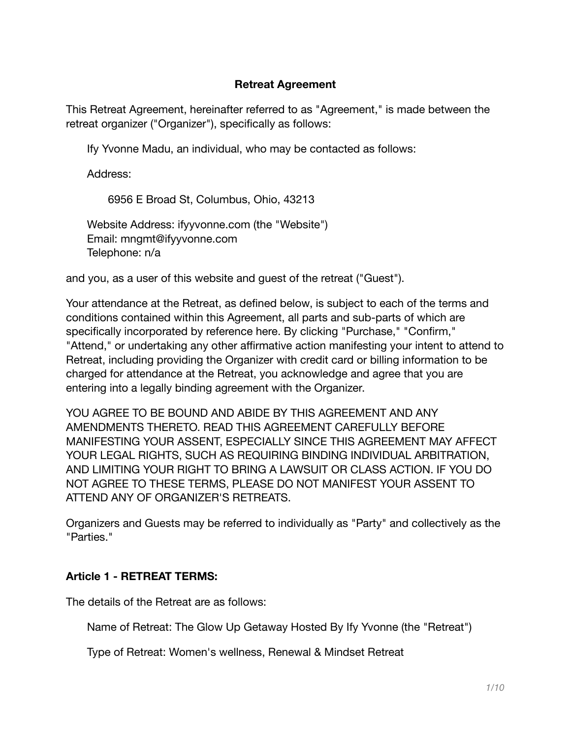#### **Retreat Agreement**

This Retreat Agreement, hereinafter referred to as "Agreement," is made between the retreat organizer ("Organizer"), specifically as follows:

Ify Yvonne Madu, an individual, who may be contacted as follows:

Address:

6956 E Broad St, Columbus, Ohio, 43213

Website Address: ifyyvonne.com (the "Website") Email: mngmt@ifyyvonne.com Telephone: n/a

and you, as a user of this website and guest of the retreat ("Guest").

Your attendance at the Retreat, as defined below, is subject to each of the terms and conditions contained within this Agreement, all parts and sub-parts of which are specifically incorporated by reference here. By clicking "Purchase," "Confirm," "Attend," or undertaking any other affirmative action manifesting your intent to attend to Retreat, including providing the Organizer with credit card or billing information to be charged for attendance at the Retreat, you acknowledge and agree that you are entering into a legally binding agreement with the Organizer.

YOU AGREE TO BE BOUND AND ABIDE BY THIS AGREEMENT AND ANY AMENDMENTS THERETO. READ THIS AGREEMENT CAREFULLY BEFORE MANIFESTING YOUR ASSENT, ESPECIALLY SINCE THIS AGREEMENT MAY AFFECT YOUR LEGAL RIGHTS, SUCH AS REQUIRING BINDING INDIVIDUAL ARBITRATION, AND LIMITING YOUR RIGHT TO BRING A LAWSUIT OR CLASS ACTION. IF YOU DO NOT AGREE TO THESE TERMS, PLEASE DO NOT MANIFEST YOUR ASSENT TO ATTEND ANY OF ORGANIZER'S RETREATS.

Organizers and Guests may be referred to individually as "Party" and collectively as the "Parties."

### **Article 1 - RETREAT TERMS:**

The details of the Retreat are as follows:

Name of Retreat: The Glow Up Getaway Hosted By Ify Yvonne (the "Retreat")

Type of Retreat: Women's wellness, Renewal & Mindset Retreat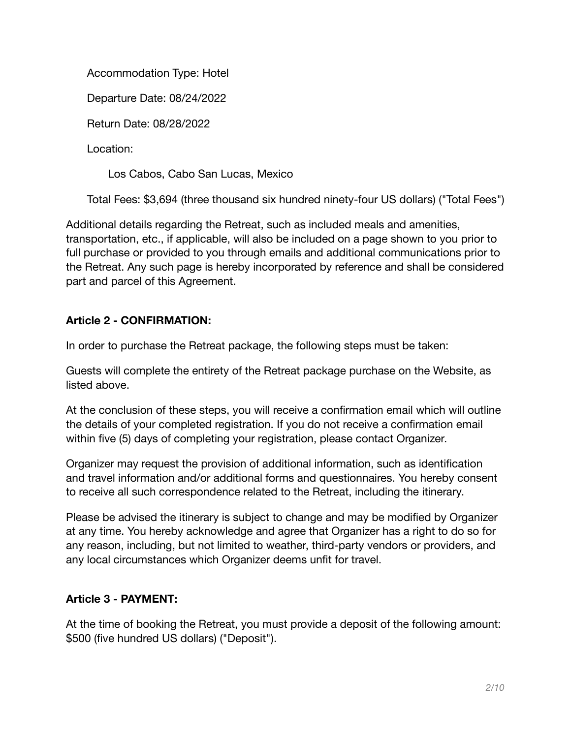Accommodation Type: Hotel

Departure Date: 08/24/2022

Return Date: 08/28/2022

Location:

Los Cabos, Cabo San Lucas, Mexico

Total Fees: \$3,694 (three thousand six hundred ninety-four US dollars) ("Total Fees")

Additional details regarding the Retreat, such as included meals and amenities, transportation, etc., if applicable, will also be included on a page shown to you prior to full purchase or provided to you through emails and additional communications prior to the Retreat. Any such page is hereby incorporated by reference and shall be considered part and parcel of this Agreement.

# **Article 2 - CONFIRMATION:**

In order to purchase the Retreat package, the following steps must be taken:

Guests will complete the entirety of the Retreat package purchase on the Website, as listed above.

At the conclusion of these steps, you will receive a confirmation email which will outline the details of your completed registration. If you do not receive a confirmation email within five (5) days of completing your registration, please contact Organizer.

Organizer may request the provision of additional information, such as identification and travel information and/or additional forms and questionnaires. You hereby consent to receive all such correspondence related to the Retreat, including the itinerary.

Please be advised the itinerary is subject to change and may be modified by Organizer at any time. You hereby acknowledge and agree that Organizer has a right to do so for any reason, including, but not limited to weather, third-party vendors or providers, and any local circumstances which Organizer deems unfit for travel.

# **Article 3 - PAYMENT:**

At the time of booking the Retreat, you must provide a deposit of the following amount: \$500 (five hundred US dollars) ("Deposit").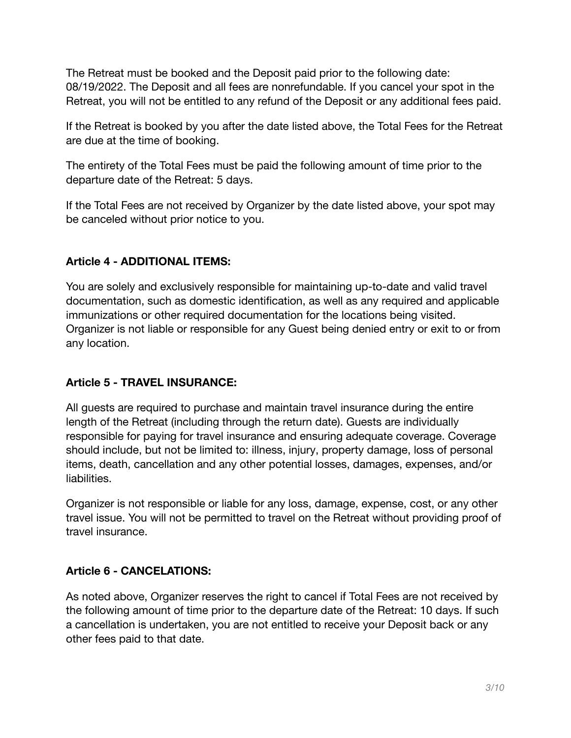The Retreat must be booked and the Deposit paid prior to the following date: 08/19/2022. The Deposit and all fees are nonrefundable. If you cancel your spot in the Retreat, you will not be entitled to any refund of the Deposit or any additional fees paid.

If the Retreat is booked by you after the date listed above, the Total Fees for the Retreat are due at the time of booking.

The entirety of the Total Fees must be paid the following amount of time prior to the departure date of the Retreat: 5 days.

If the Total Fees are not received by Organizer by the date listed above, your spot may be canceled without prior notice to you.

## **Article 4 - ADDITIONAL ITEMS:**

You are solely and exclusively responsible for maintaining up-to-date and valid travel documentation, such as domestic identification, as well as any required and applicable immunizations or other required documentation for the locations being visited. Organizer is not liable or responsible for any Guest being denied entry or exit to or from any location.

### **Article 5 - TRAVEL INSURANCE:**

All guests are required to purchase and maintain travel insurance during the entire length of the Retreat (including through the return date). Guests are individually responsible for paying for travel insurance and ensuring adequate coverage. Coverage should include, but not be limited to: illness, injury, property damage, loss of personal items, death, cancellation and any other potential losses, damages, expenses, and/or liabilities.

Organizer is not responsible or liable for any loss, damage, expense, cost, or any other travel issue. You will not be permitted to travel on the Retreat without providing proof of travel insurance.

## **Article 6 - CANCELATIONS:**

As noted above, Organizer reserves the right to cancel if Total Fees are not received by the following amount of time prior to the departure date of the Retreat: 10 days. If such a cancellation is undertaken, you are not entitled to receive your Deposit back or any other fees paid to that date.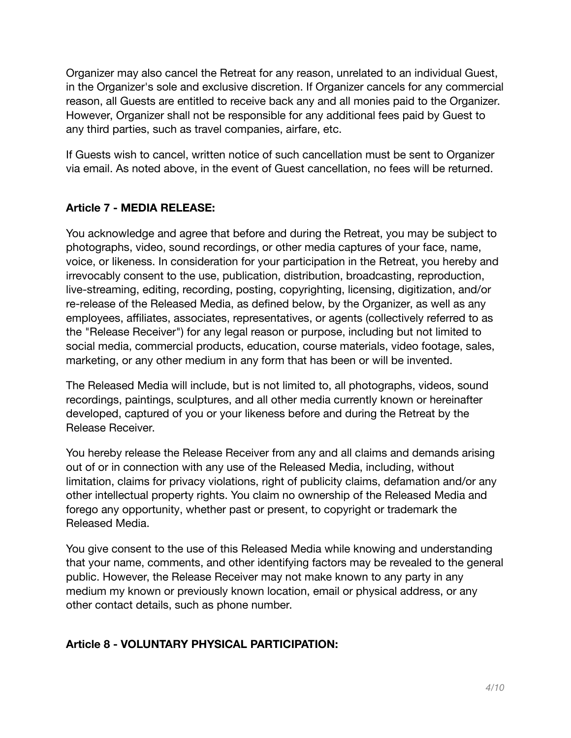Organizer may also cancel the Retreat for any reason, unrelated to an individual Guest, in the Organizer's sole and exclusive discretion. If Organizer cancels for any commercial reason, all Guests are entitled to receive back any and all monies paid to the Organizer. However, Organizer shall not be responsible for any additional fees paid by Guest to any third parties, such as travel companies, airfare, etc.

If Guests wish to cancel, written notice of such cancellation must be sent to Organizer via email. As noted above, in the event of Guest cancellation, no fees will be returned.

## **Article 7 - MEDIA RELEASE:**

You acknowledge and agree that before and during the Retreat, you may be subject to photographs, video, sound recordings, or other media captures of your face, name, voice, or likeness. In consideration for your participation in the Retreat, you hereby and irrevocably consent to the use, publication, distribution, broadcasting, reproduction, live-streaming, editing, recording, posting, copyrighting, licensing, digitization, and/or re-release of the Released Media, as defined below, by the Organizer, as well as any employees, affiliates, associates, representatives, or agents (collectively referred to as the "Release Receiver") for any legal reason or purpose, including but not limited to social media, commercial products, education, course materials, video footage, sales, marketing, or any other medium in any form that has been or will be invented.

The Released Media will include, but is not limited to, all photographs, videos, sound recordings, paintings, sculptures, and all other media currently known or hereinafter developed, captured of you or your likeness before and during the Retreat by the Release Receiver.

You hereby release the Release Receiver from any and all claims and demands arising out of or in connection with any use of the Released Media, including, without limitation, claims for privacy violations, right of publicity claims, defamation and/or any other intellectual property rights. You claim no ownership of the Released Media and forego any opportunity, whether past or present, to copyright or trademark the Released Media.

You give consent to the use of this Released Media while knowing and understanding that your name, comments, and other identifying factors may be revealed to the general public. However, the Release Receiver may not make known to any party in any medium my known or previously known location, email or physical address, or any other contact details, such as phone number.

### **Article 8 - VOLUNTARY PHYSICAL PARTICIPATION:**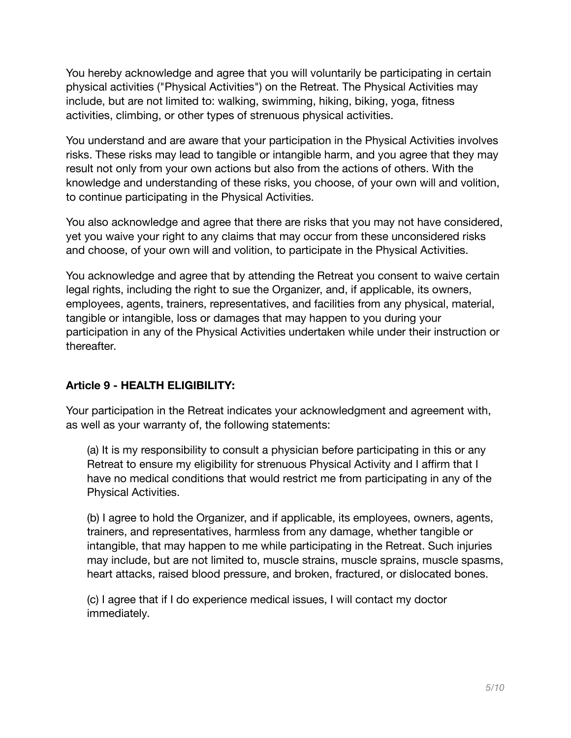You hereby acknowledge and agree that you will voluntarily be participating in certain physical activities ("Physical Activities") on the Retreat. The Physical Activities may include, but are not limited to: walking, swimming, hiking, biking, yoga, fitness activities, climbing, or other types of strenuous physical activities.

You understand and are aware that your participation in the Physical Activities involves risks. These risks may lead to tangible or intangible harm, and you agree that they may result not only from your own actions but also from the actions of others. With the knowledge and understanding of these risks, you choose, of your own will and volition, to continue participating in the Physical Activities.

You also acknowledge and agree that there are risks that you may not have considered, yet you waive your right to any claims that may occur from these unconsidered risks and choose, of your own will and volition, to participate in the Physical Activities.

You acknowledge and agree that by attending the Retreat you consent to waive certain legal rights, including the right to sue the Organizer, and, if applicable, its owners, employees, agents, trainers, representatives, and facilities from any physical, material, tangible or intangible, loss or damages that may happen to you during your participation in any of the Physical Activities undertaken while under their instruction or thereafter.

## **Article 9 - HEALTH ELIGIBILITY:**

Your participation in the Retreat indicates your acknowledgment and agreement with, as well as your warranty of, the following statements:

(a) It is my responsibility to consult a physician before participating in this or any Retreat to ensure my eligibility for strenuous Physical Activity and I affirm that I have no medical conditions that would restrict me from participating in any of the Physical Activities.

(b) I agree to hold the Organizer, and if applicable, its employees, owners, agents, trainers, and representatives, harmless from any damage, whether tangible or intangible, that may happen to me while participating in the Retreat. Such injuries may include, but are not limited to, muscle strains, muscle sprains, muscle spasms, heart attacks, raised blood pressure, and broken, fractured, or dislocated bones.

(c) I agree that if I do experience medical issues, I will contact my doctor immediately.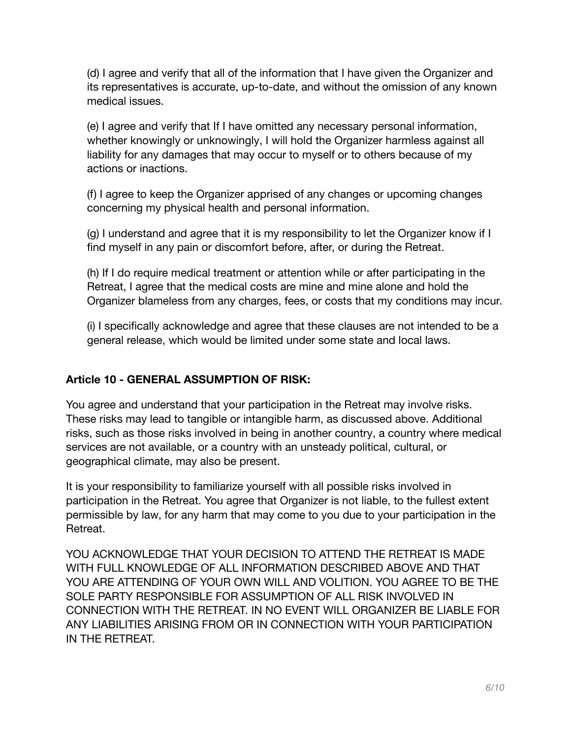(d) I agree and verify that all of the information that I have given the Organizer and its representatives is accurate, up-to-date, and without the omission of any known medical issues.

(e) I agree and verify that If I have omitted any necessary personal information, whether knowingly or unknowingly, I will hold the Organizer harmless against all liability for any damages that may occur to myself or to others because of my actions or inactions.

(f) I agree to keep the Organizer apprised of any changes or upcoming changes concerning my physical health and personal information.

(g) I understand and agree that it is my responsibility to let the Organizer know if I find myself in any pain or discomfort before, after, or during the Retreat.

(h) If I do require medical treatment or attention while or after participating in the Retreat, I agree that the medical costs are mine and mine alone and hold the Organizer blameless from any charges, fees, or costs that my conditions may incur.

(i) I specifically acknowledge and agree that these clauses are not intended to be a general release, which would be limited under some state and local laws.

## **Article 10 - GENERAL ASSUMPTION OF RISK:**

You agree and understand that your participation in the Retreat may involve risks. These risks may lead to tangible or intangible harm, as discussed above. Additional risks, such as those risks involved in being in another country, a country where medical services are not available, or a country with an unsteady political, cultural, or geographical climate, may also be present.

It is your responsibility to familiarize yourself with all possible risks involved in participation in the Retreat. You agree that Organizer is not liable, to the fullest extent permissible by law, for any harm that may come to you due to your participation in the Retreat.

YOU ACKNOWLEDGE THAT YOUR DECISION TO ATTEND THE RETREAT IS MADE WITH FULL KNOWLEDGE OF ALL INFORMATION DESCRIBED ABOVE AND THAT YOU ARE ATTENDING OF YOUR OWN WILL AND VOLITION. YOU AGREE TO BE THE SOLE PARTY RESPONSIBLE FOR ASSUMPTION OF ALL RISK INVOLVED IN CONNECTION WITH THE RETREAT. IN NO EVENT WILL ORGANIZER BE LIABLE FOR ANY LIABILITIES ARISING FROM OR IN CONNECTION WITH YOUR PARTICIPATION IN THE RETREAT.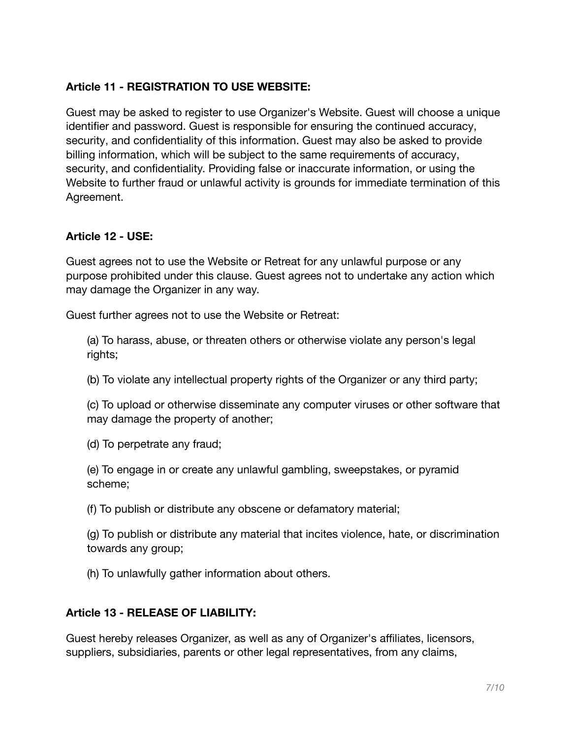## **Article 11 - REGISTRATION TO USE WEBSITE:**

Guest may be asked to register to use Organizer's Website. Guest will choose a unique identifier and password. Guest is responsible for ensuring the continued accuracy, security, and confidentiality of this information. Guest may also be asked to provide billing information, which will be subject to the same requirements of accuracy, security, and confidentiality. Providing false or inaccurate information, or using the Website to further fraud or unlawful activity is grounds for immediate termination of this Agreement.

#### **Article 12 - USE:**

Guest agrees not to use the Website or Retreat for any unlawful purpose or any purpose prohibited under this clause. Guest agrees not to undertake any action which may damage the Organizer in any way.

Guest further agrees not to use the Website or Retreat:

(a) To harass, abuse, or threaten others or otherwise violate any person's legal rights;

(b) To violate any intellectual property rights of the Organizer or any third party;

(c) To upload or otherwise disseminate any computer viruses or other software that may damage the property of another;

(d) To perpetrate any fraud;

(e) To engage in or create any unlawful gambling, sweepstakes, or pyramid scheme;

(f) To publish or distribute any obscene or defamatory material;

(g) To publish or distribute any material that incites violence, hate, or discrimination towards any group;

(h) To unlawfully gather information about others.

### **Article 13 - RELEASE OF LIABILITY:**

Guest hereby releases Organizer, as well as any of Organizer's affiliates, licensors, suppliers, subsidiaries, parents or other legal representatives, from any claims,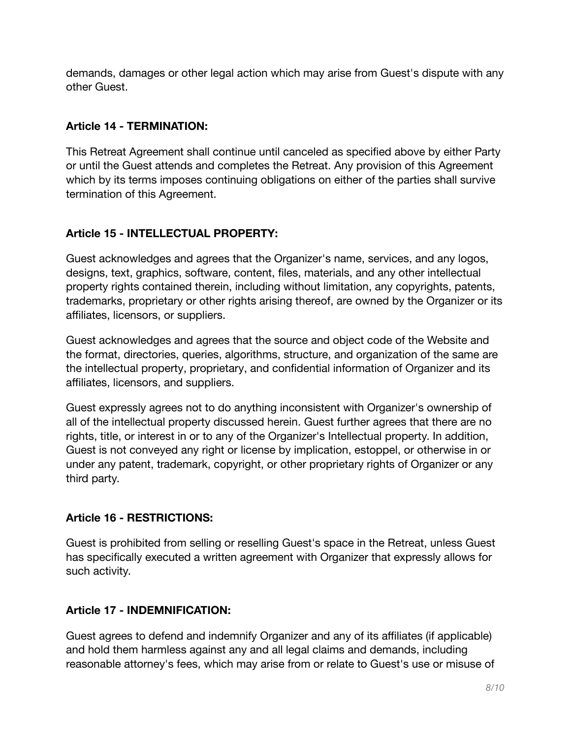demands, damages or other legal action which may arise from Guest's dispute with any other Guest.

## **Article 14 - TERMINATION:**

This Retreat Agreement shall continue until canceled as specified above by either Party or until the Guest attends and completes the Retreat. Any provision of this Agreement which by its terms imposes continuing obligations on either of the parties shall survive termination of this Agreement.

## **Article 15 - INTELLECTUAL PROPERTY:**

Guest acknowledges and agrees that the Organizer's name, services, and any logos, designs, text, graphics, software, content, files, materials, and any other intellectual property rights contained therein, including without limitation, any copyrights, patents, trademarks, proprietary or other rights arising thereof, are owned by the Organizer or its affiliates, licensors, or suppliers.

Guest acknowledges and agrees that the source and object code of the Website and the format, directories, queries, algorithms, structure, and organization of the same are the intellectual property, proprietary, and confidential information of Organizer and its affiliates, licensors, and suppliers.

Guest expressly agrees not to do anything inconsistent with Organizer's ownership of all of the intellectual property discussed herein. Guest further agrees that there are no rights, title, or interest in or to any of the Organizer's Intellectual property. In addition, Guest is not conveyed any right or license by implication, estoppel, or otherwise in or under any patent, trademark, copyright, or other proprietary rights of Organizer or any third party.

## **Article 16 - RESTRICTIONS:**

Guest is prohibited from selling or reselling Guest's space in the Retreat, unless Guest has specifically executed a written agreement with Organizer that expressly allows for such activity.

## **Article 17 - INDEMNIFICATION:**

Guest agrees to defend and indemnify Organizer and any of its affiliates (if applicable) and hold them harmless against any and all legal claims and demands, including reasonable attorney's fees, which may arise from or relate to Guest's use or misuse of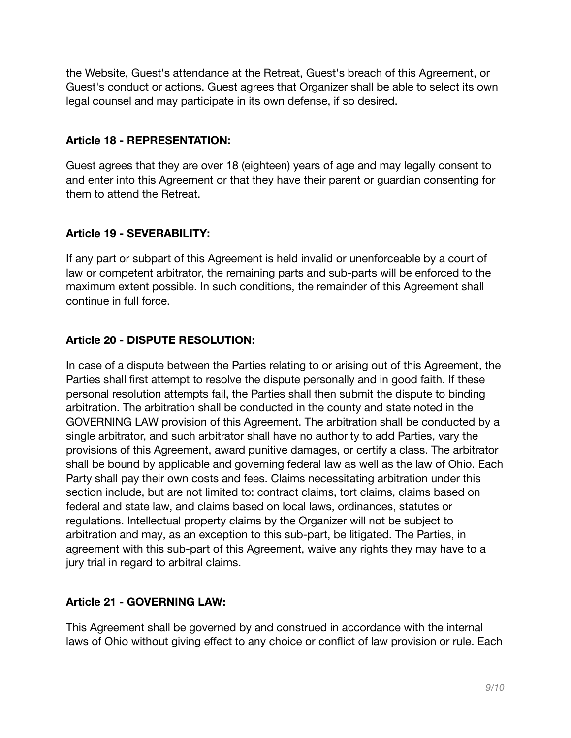the Website, Guest's attendance at the Retreat, Guest's breach of this Agreement, or Guest's conduct or actions. Guest agrees that Organizer shall be able to select its own legal counsel and may participate in its own defense, if so desired.

### **Article 18 - REPRESENTATION:**

Guest agrees that they are over 18 (eighteen) years of age and may legally consent to and enter into this Agreement or that they have their parent or guardian consenting for them to attend the Retreat.

## **Article 19 - SEVERABILITY:**

If any part or subpart of this Agreement is held invalid or unenforceable by a court of law or competent arbitrator, the remaining parts and sub-parts will be enforced to the maximum extent possible. In such conditions, the remainder of this Agreement shall continue in full force.

## **Article 20 - DISPUTE RESOLUTION:**

In case of a dispute between the Parties relating to or arising out of this Agreement, the Parties shall first attempt to resolve the dispute personally and in good faith. If these personal resolution attempts fail, the Parties shall then submit the dispute to binding arbitration. The arbitration shall be conducted in the county and state noted in the GOVERNING LAW provision of this Agreement. The arbitration shall be conducted by a single arbitrator, and such arbitrator shall have no authority to add Parties, vary the provisions of this Agreement, award punitive damages, or certify a class. The arbitrator shall be bound by applicable and governing federal law as well as the law of Ohio. Each Party shall pay their own costs and fees. Claims necessitating arbitration under this section include, but are not limited to: contract claims, tort claims, claims based on federal and state law, and claims based on local laws, ordinances, statutes or regulations. Intellectual property claims by the Organizer will not be subject to arbitration and may, as an exception to this sub-part, be litigated. The Parties, in agreement with this sub-part of this Agreement, waive any rights they may have to a jury trial in regard to arbitral claims.

## **Article 21 - GOVERNING LAW:**

This Agreement shall be governed by and construed in accordance with the internal laws of Ohio without giving effect to any choice or conflict of law provision or rule. Each